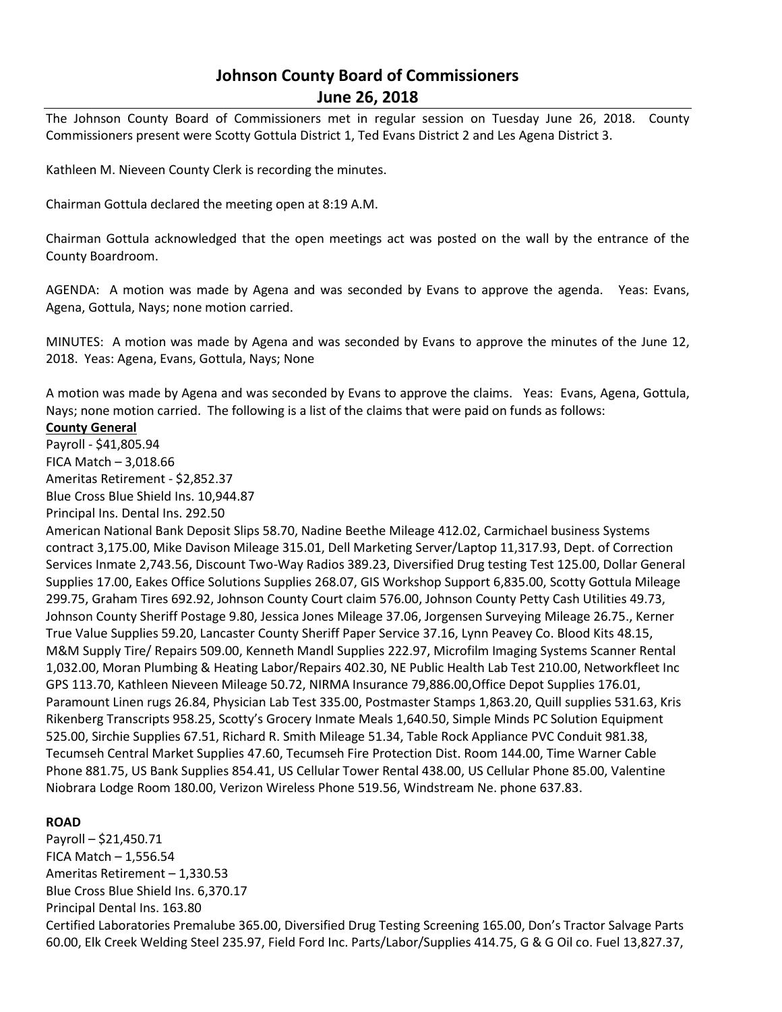# **Johnson County Board of Commissioners June 26, 2018**

The Johnson County Board of Commissioners met in regular session on Tuesday June 26, 2018. County Commissioners present were Scotty Gottula District 1, Ted Evans District 2 and Les Agena District 3.

Kathleen M. Nieveen County Clerk is recording the minutes.

Chairman Gottula declared the meeting open at 8:19 A.M.

Chairman Gottula acknowledged that the open meetings act was posted on the wall by the entrance of the County Boardroom.

AGENDA: A motion was made by Agena and was seconded by Evans to approve the agenda. Yeas: Evans, Agena, Gottula, Nays; none motion carried.

MINUTES: A motion was made by Agena and was seconded by Evans to approve the minutes of the June 12, 2018. Yeas: Agena, Evans, Gottula, Nays; None

A motion was made by Agena and was seconded by Evans to approve the claims. Yeas: Evans, Agena, Gottula, Nays; none motion carried. The following is a list of the claims that were paid on funds as follows:

#### **County General**

Payroll - \$41,805.94 FICA Match – 3,018.66 Ameritas Retirement - \$2,852.37 Blue Cross Blue Shield Ins. 10,944.87

Principal Ins. Dental Ins. 292.50

American National Bank Deposit Slips 58.70, Nadine Beethe Mileage 412.02, Carmichael business Systems contract 3,175.00, Mike Davison Mileage 315.01, Dell Marketing Server/Laptop 11,317.93, Dept. of Correction Services Inmate 2,743.56, Discount Two-Way Radios 389.23, Diversified Drug testing Test 125.00, Dollar General Supplies 17.00, Eakes Office Solutions Supplies 268.07, GIS Workshop Support 6,835.00, Scotty Gottula Mileage 299.75, Graham Tires 692.92, Johnson County Court claim 576.00, Johnson County Petty Cash Utilities 49.73, Johnson County Sheriff Postage 9.80, Jessica Jones Mileage 37.06, Jorgensen Surveying Mileage 26.75., Kerner True Value Supplies 59.20, Lancaster County Sheriff Paper Service 37.16, Lynn Peavey Co. Blood Kits 48.15, M&M Supply Tire/ Repairs 509.00, Kenneth Mandl Supplies 222.97, Microfilm Imaging Systems Scanner Rental 1,032.00, Moran Plumbing & Heating Labor/Repairs 402.30, NE Public Health Lab Test 210.00, Networkfleet Inc GPS 113.70, Kathleen Nieveen Mileage 50.72, NIRMA Insurance 79,886.00,Office Depot Supplies 176.01, Paramount Linen rugs 26.84, Physician Lab Test 335.00, Postmaster Stamps 1,863.20, Quill supplies 531.63, Kris Rikenberg Transcripts 958.25, Scotty's Grocery Inmate Meals 1,640.50, Simple Minds PC Solution Equipment 525.00, Sirchie Supplies 67.51, Richard R. Smith Mileage 51.34, Table Rock Appliance PVC Conduit 981.38, Tecumseh Central Market Supplies 47.60, Tecumseh Fire Protection Dist. Room 144.00, Time Warner Cable Phone 881.75, US Bank Supplies 854.41, US Cellular Tower Rental 438.00, US Cellular Phone 85.00, Valentine Niobrara Lodge Room 180.00, Verizon Wireless Phone 519.56, Windstream Ne. phone 637.83.

## **ROAD**

Payroll – \$21,450.71 FICA Match – 1,556.54 Ameritas Retirement – 1,330.53 Blue Cross Blue Shield Ins. 6,370.17 Principal Dental Ins. 163.80 Certified Laboratories Premalube 365.00, Diversified Drug Testing Screening 165.00, Don's Tractor Salvage Parts 60.00, Elk Creek Welding Steel 235.97, Field Ford Inc. Parts/Labor/Supplies 414.75, G & G Oil co. Fuel 13,827.37,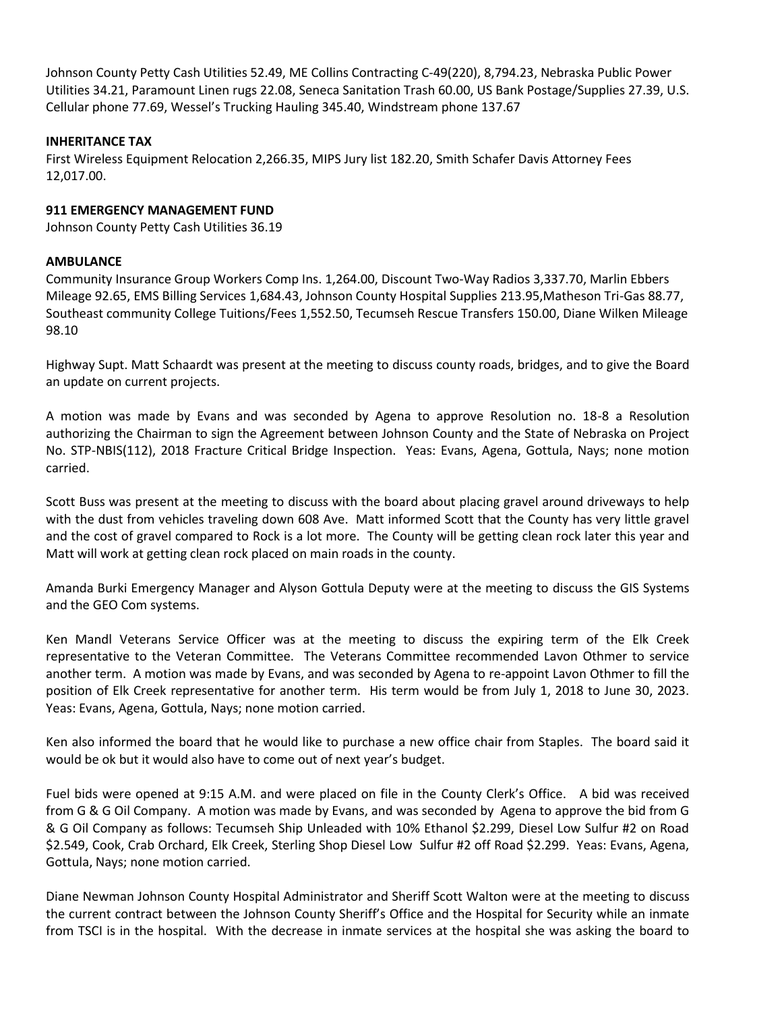Johnson County Petty Cash Utilities 52.49, ME Collins Contracting C-49(220), 8,794.23, Nebraska Public Power Utilities 34.21, Paramount Linen rugs 22.08, Seneca Sanitation Trash 60.00, US Bank Postage/Supplies 27.39, U.S. Cellular phone 77.69, Wessel's Trucking Hauling 345.40, Windstream phone 137.67

## **INHERITANCE TAX**

First Wireless Equipment Relocation 2,266.35, MIPS Jury list 182.20, Smith Schafer Davis Attorney Fees 12,017.00.

### **911 EMERGENCY MANAGEMENT FUND**

Johnson County Petty Cash Utilities 36.19

#### **AMBULANCE**

Community Insurance Group Workers Comp Ins. 1,264.00, Discount Two-Way Radios 3,337.70, Marlin Ebbers Mileage 92.65, EMS Billing Services 1,684.43, Johnson County Hospital Supplies 213.95,Matheson Tri-Gas 88.77, Southeast community College Tuitions/Fees 1,552.50, Tecumseh Rescue Transfers 150.00, Diane Wilken Mileage 98.10

Highway Supt. Matt Schaardt was present at the meeting to discuss county roads, bridges, and to give the Board an update on current projects.

A motion was made by Evans and was seconded by Agena to approve Resolution no. 18-8 a Resolution authorizing the Chairman to sign the Agreement between Johnson County and the State of Nebraska on Project No. STP-NBIS(112), 2018 Fracture Critical Bridge Inspection. Yeas: Evans, Agena, Gottula, Nays; none motion carried.

Scott Buss was present at the meeting to discuss with the board about placing gravel around driveways to help with the dust from vehicles traveling down 608 Ave. Matt informed Scott that the County has very little gravel and the cost of gravel compared to Rock is a lot more. The County will be getting clean rock later this year and Matt will work at getting clean rock placed on main roads in the county.

Amanda Burki Emergency Manager and Alyson Gottula Deputy were at the meeting to discuss the GIS Systems and the GEO Com systems.

Ken Mandl Veterans Service Officer was at the meeting to discuss the expiring term of the Elk Creek representative to the Veteran Committee. The Veterans Committee recommended Lavon Othmer to service another term. A motion was made by Evans, and was seconded by Agena to re-appoint Lavon Othmer to fill the position of Elk Creek representative for another term. His term would be from July 1, 2018 to June 30, 2023. Yeas: Evans, Agena, Gottula, Nays; none motion carried.

Ken also informed the board that he would like to purchase a new office chair from Staples. The board said it would be ok but it would also have to come out of next year's budget.

Fuel bids were opened at 9:15 A.M. and were placed on file in the County Clerk's Office. A bid was received from G & G Oil Company. A motion was made by Evans, and was seconded by Agena to approve the bid from G & G Oil Company as follows: Tecumseh Ship Unleaded with 10% Ethanol \$2.299, Diesel Low Sulfur #2 on Road \$2.549, Cook, Crab Orchard, Elk Creek, Sterling Shop Diesel Low Sulfur #2 off Road \$2.299. Yeas: Evans, Agena, Gottula, Nays; none motion carried.

Diane Newman Johnson County Hospital Administrator and Sheriff Scott Walton were at the meeting to discuss the current contract between the Johnson County Sheriff's Office and the Hospital for Security while an inmate from TSCI is in the hospital. With the decrease in inmate services at the hospital she was asking the board to